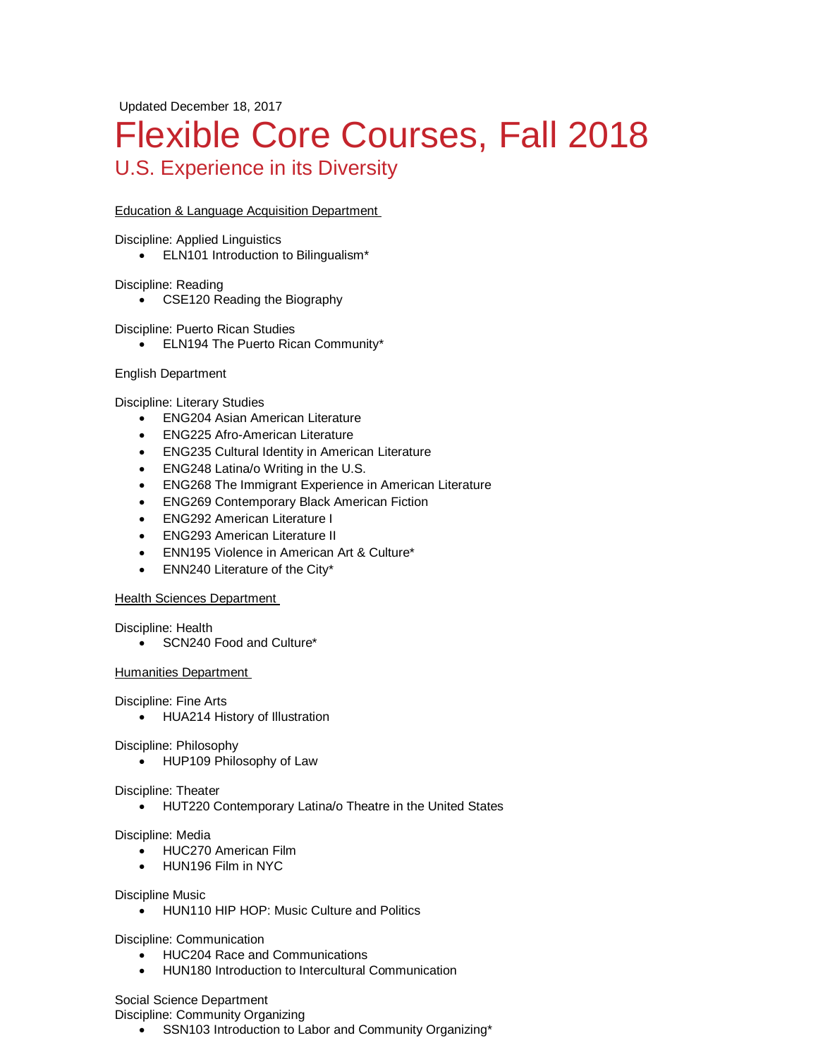Updated December 18, 2017

# Flexible Core Courses, Fall 2018 U.S. Experience in its Diversity

## Education & Language Acquisition Department

Discipline: Applied Linguistics

• ELN101 Introduction to Bilingualism\*

Discipline: Reading

• CSE120 Reading the Biography

Discipline: Puerto Rican Studies

• ELN194 The Puerto Rican Community\*

### English Department

Discipline: Literary Studies

- ENG204 Asian American Literature
- ENG225 Afro-American Literature
- ENG235 Cultural Identity in American Literature
- ENG248 Latina/o Writing in the U.S.
- ENG268 The Immigrant Experience in American Literature
- ENG269 Contemporary Black American Fiction
- ENG292 American Literature I
- ENG293 American Literature II
- ENN195 Violence in American Art & Culture\*
- ENN240 Literature of the City\*

### **Health Sciences Department**

Discipline: Health

• SCN240 Food and Culture\*

### Humanities Department

Discipline: Fine Arts

• HUA214 History of Illustration

Discipline: Philosophy

• HUP109 Philosophy of Law

### Discipline: Theater

• HUT220 Contemporary Latina/o Theatre in the United States

Discipline: Media

- HUC270 American Film
- HUN196 Film in NYC

### Discipline Music

• HUN110 HIP HOP: Music Culture and Politics

Discipline: Communication

- HUC204 Race and Communications
- HUN180 Introduction to Intercultural Communication

Social Science Department

Discipline: Community Organizing

• SSN103 Introduction to Labor and Community Organizing\*